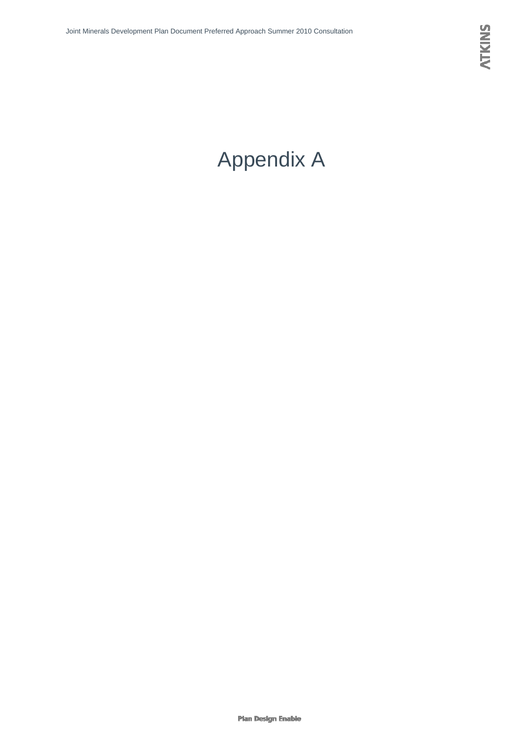# Appendix A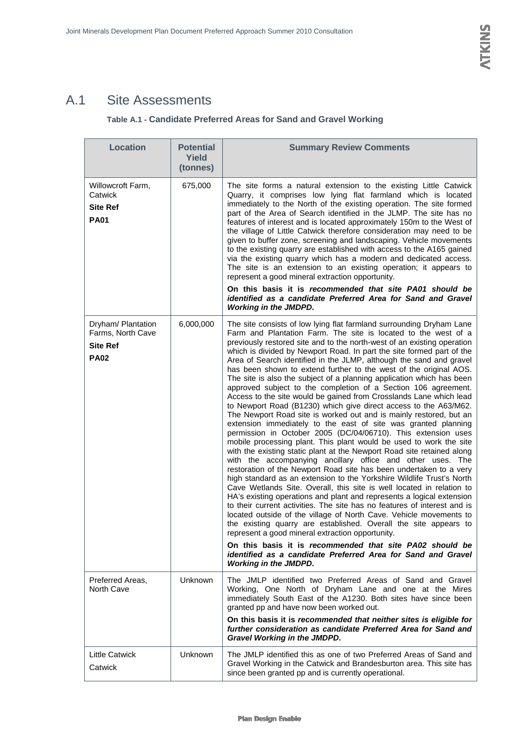## A.1 Site Assessments

### **Table A.1 - Candidate Preferred Areas for Sand and Gravel Working**

| <b>Location</b>                                                           | <b>Potential</b><br>Yield<br>(tonnes) | <b>Summary Review Comments</b>                                                                                                                                                                                                                                                                                                                                                                                                                                                                                                                                                                                                                                                                                                                                                                                                                                                                                                                                                                                                                                                                                                                                                                                                                                                                                                                                                                                                                                                                                                                                                                                                                                                                                                                                                                                                                                                            |
|---------------------------------------------------------------------------|---------------------------------------|-------------------------------------------------------------------------------------------------------------------------------------------------------------------------------------------------------------------------------------------------------------------------------------------------------------------------------------------------------------------------------------------------------------------------------------------------------------------------------------------------------------------------------------------------------------------------------------------------------------------------------------------------------------------------------------------------------------------------------------------------------------------------------------------------------------------------------------------------------------------------------------------------------------------------------------------------------------------------------------------------------------------------------------------------------------------------------------------------------------------------------------------------------------------------------------------------------------------------------------------------------------------------------------------------------------------------------------------------------------------------------------------------------------------------------------------------------------------------------------------------------------------------------------------------------------------------------------------------------------------------------------------------------------------------------------------------------------------------------------------------------------------------------------------------------------------------------------------------------------------------------------------|
| Willowcroft Farm,<br>Catwick<br><b>Site Ref</b><br><b>PA01</b>            | 675,000                               | The site forms a natural extension to the existing Little Catwick<br>Quarry, it comprises low lying flat farmland which is located<br>immediately to the North of the existing operation. The site formed<br>part of the Area of Search identified in the JLMP. The site has no<br>features of interest and is located approximately 150m to the West of<br>the village of Little Catwick therefore consideration may need to be<br>given to buffer zone, screening and landscaping. Vehicle movements<br>to the existing quarry are established with access to the A165 gained<br>via the existing quarry which has a modern and dedicated access.<br>The site is an extension to an existing operation; it appears to<br>represent a good mineral extraction opportunity.<br>On this basis it is recommended that site PA01 should be<br>identified as a candidate Preferred Area for Sand and Gravel<br><b>Working in the JMDPD.</b>                                                                                                                                                                                                                                                                                                                                                                                                                                                                                                                                                                                                                                                                                                                                                                                                                                                                                                                                                   |
| Dryham/ Plantation<br>Farms, North Cave<br><b>Site Ref</b><br><b>PA02</b> | 6,000,000                             | The site consists of low lying flat farmland surrounding Dryham Lane<br>Farm and Plantation Farm. The site is located to the west of a<br>previously restored site and to the north-west of an existing operation<br>which is divided by Newport Road. In part the site formed part of the<br>Area of Search identified in the JLMP, although the sand and gravel<br>has been shown to extend further to the west of the original AOS.<br>The site is also the subject of a planning application which has been<br>approved subject to the completion of a Section 106 agreement.<br>Access to the site would be gained from Crosslands Lane which lead<br>to Newport Road (B1230) which give direct access to the A63/M62.<br>The Newport Road site is worked out and is mainly restored, but an<br>extension immediately to the east of site was granted planning<br>permission in October 2005 (DC/04/06710). This extension uses<br>mobile processing plant. This plant would be used to work the site<br>with the existing static plant at the Newport Road site retained along<br>with the accompanying ancillary office and other uses. The<br>restoration of the Newport Road site has been undertaken to a very<br>high standard as an extension to the Yorkshire Wildlife Trust's North<br>Cave Wetlands Site. Overall, this site is well located in relation to<br>HA's existing operations and plant and represents a logical extension<br>to their current activities. The site has no features of interest and is<br>located outside of the village of North Cave. Vehicle movements to<br>the existing quarry are established. Overall the site appears to<br>represent a good mineral extraction opportunity.<br>On this basis it is recommended that site PA02 should be<br>identified as a candidate Preferred Area for Sand and Gravel<br><b>Working in the JMDPD.</b> |
| Preferred Areas,<br>North Cave                                            | Unknown                               | The JMLP identified two Preferred Areas of Sand and Gravel<br>Working, One North of Dryham Lane and one at the Mires<br>immediately South East of the A1230. Both sites have since been<br>granted pp and have now been worked out.<br>On this basis it is recommended that neither sites is eligible for<br>further consideration as candidate Preferred Area for Sand and<br><b>Gravel Working in the JMDPD.</b>                                                                                                                                                                                                                                                                                                                                                                                                                                                                                                                                                                                                                                                                                                                                                                                                                                                                                                                                                                                                                                                                                                                                                                                                                                                                                                                                                                                                                                                                        |
| <b>Little Catwick</b><br>Catwick                                          | Unknown                               | The JMLP identified this as one of two Preferred Areas of Sand and<br>Gravel Working in the Catwick and Brandesburton area. This site has<br>since been granted pp and is currently operational.                                                                                                                                                                                                                                                                                                                                                                                                                                                                                                                                                                                                                                                                                                                                                                                                                                                                                                                                                                                                                                                                                                                                                                                                                                                                                                                                                                                                                                                                                                                                                                                                                                                                                          |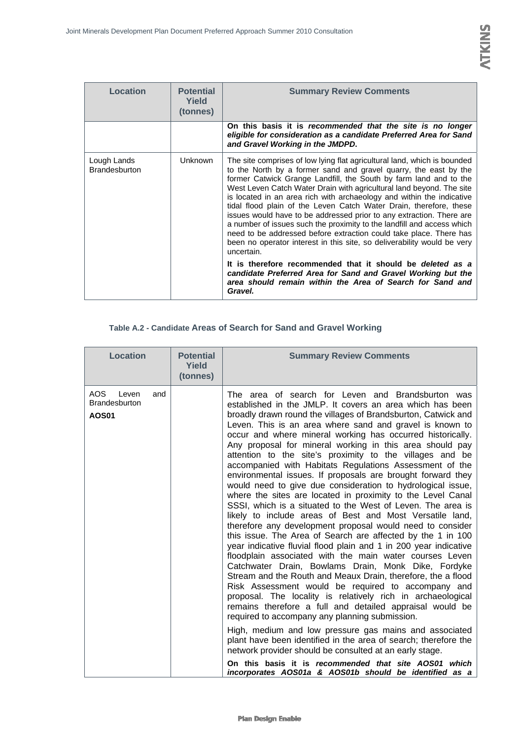| Location                            | <b>Potential</b><br>Yield<br>(tonnes) | <b>Summary Review Comments</b>                                                                                                                                                                                                                                                                                                                                                                                                                                                                                                                                                                                                                                                                                                                            |
|-------------------------------------|---------------------------------------|-----------------------------------------------------------------------------------------------------------------------------------------------------------------------------------------------------------------------------------------------------------------------------------------------------------------------------------------------------------------------------------------------------------------------------------------------------------------------------------------------------------------------------------------------------------------------------------------------------------------------------------------------------------------------------------------------------------------------------------------------------------|
|                                     |                                       | On this basis it is recommended that the site is no longer<br>eligible for consideration as a candidate Preferred Area for Sand<br>and Gravel Working in the JMDPD.                                                                                                                                                                                                                                                                                                                                                                                                                                                                                                                                                                                       |
| Lough Lands<br><b>Brandesburton</b> | <b>Unknown</b>                        | The site comprises of low lying flat agricultural land, which is bounded<br>to the North by a former sand and gravel quarry, the east by the<br>former Catwick Grange Landfill, the South by farm land and to the<br>West Leven Catch Water Drain with agricultural land beyond. The site<br>is located in an area rich with archaeology and within the indicative<br>tidal flood plain of the Leven Catch Water Drain, therefore, these<br>issues would have to be addressed prior to any extraction. There are<br>a number of issues such the proximity to the landfill and access which<br>need to be addressed before extraction could take place. There has<br>been no operator interest in this site, so deliverability would be very<br>uncertain. |
|                                     |                                       | It is therefore recommended that it should be <i>deleted as a</i><br>candidate Preferred Area for Sand and Gravel Working but the                                                                                                                                                                                                                                                                                                                                                                                                                                                                                                                                                                                                                         |

*area should remain within the Area of Search for Sand and* 

#### **Table A.2 - Candidate Areas of Search for Sand and Gravel Working**

*Gravel.*

| AOS.<br>The area of search for Leven and Brandsburton was<br>Leven<br>and<br><b>Brandesburton</b><br>established in the JMLP. It covers an area which has been<br>broadly drawn round the villages of Brandsburton, Catwick and<br><b>AOS01</b><br>Leven. This is an area where sand and gravel is known to<br>occur and where mineral working has occurred historically.<br>Any proposal for mineral working in this area should pay<br>attention to the site's proximity to the villages and be<br>accompanied with Habitats Regulations Assessment of the<br>environmental issues. If proposals are brought forward they<br>would need to give due consideration to hydrological issue,<br>where the sites are located in proximity to the Level Canal<br>SSSI, which is a situated to the West of Leven. The area is<br>likely to include areas of Best and Most Versatile land,<br>therefore any development proposal would need to consider<br>this issue. The Area of Search are affected by the 1 in 100<br>year indicative fluvial flood plain and 1 in 200 year indicative<br>floodplain associated with the main water courses Leven<br>Catchwater Drain, Bowlams Drain, Monk Dike, Fordyke<br>Stream and the Routh and Meaux Drain, therefore, the a flood<br>Risk Assessment would be required to accompany and<br>proposal. The locality is relatively rich in archaeological<br>required to accompany any planning submission.<br>High, medium and low pressure gas mains and associated | <b>Location</b> | <b>Potential</b><br>Yield<br>(tonnes) | <b>Summary Review Comments</b>                                                                                                                                                                                                                 |
|---------------------------------------------------------------------------------------------------------------------------------------------------------------------------------------------------------------------------------------------------------------------------------------------------------------------------------------------------------------------------------------------------------------------------------------------------------------------------------------------------------------------------------------------------------------------------------------------------------------------------------------------------------------------------------------------------------------------------------------------------------------------------------------------------------------------------------------------------------------------------------------------------------------------------------------------------------------------------------------------------------------------------------------------------------------------------------------------------------------------------------------------------------------------------------------------------------------------------------------------------------------------------------------------------------------------------------------------------------------------------------------------------------------------------------------------------------------------------------------------------------|-----------------|---------------------------------------|------------------------------------------------------------------------------------------------------------------------------------------------------------------------------------------------------------------------------------------------|
| network provider should be consulted at an early stage.                                                                                                                                                                                                                                                                                                                                                                                                                                                                                                                                                                                                                                                                                                                                                                                                                                                                                                                                                                                                                                                                                                                                                                                                                                                                                                                                                                                                                                                 |                 |                                       | remains therefore a full and detailed appraisal would be<br>plant have been identified in the area of search; therefore the<br>On this basis it is recommended that site AOS01 which<br>incorporates AOS01a & AOS01b should be identified as a |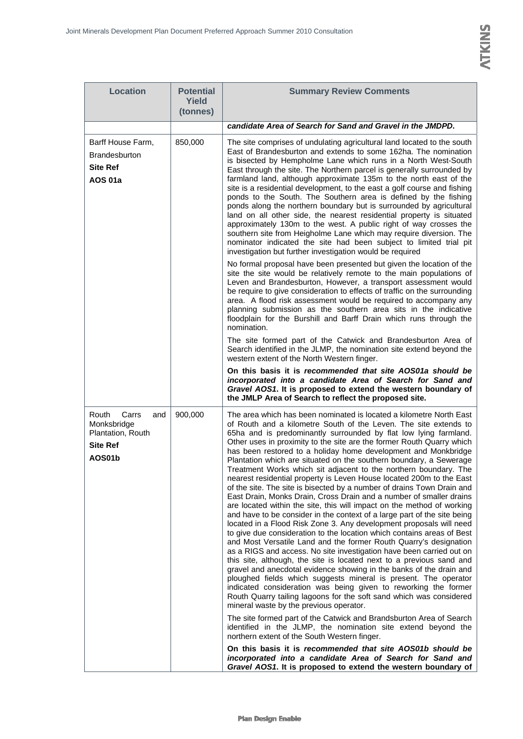| <b>Location</b>                                                                        | <b>Potential</b><br>Yield<br>(tonnes) | <b>Summary Review Comments</b>                                                                                                                                                                                                                                                                                                                                                                                                                                                                                                                                                                                                                                                                                                                                                                                                                                                                                                                                                                                                                                                                                                                                                                                                                                                                                                                                                                                                                                                                                                                                                                                                                                                                                                                                               |
|----------------------------------------------------------------------------------------|---------------------------------------|------------------------------------------------------------------------------------------------------------------------------------------------------------------------------------------------------------------------------------------------------------------------------------------------------------------------------------------------------------------------------------------------------------------------------------------------------------------------------------------------------------------------------------------------------------------------------------------------------------------------------------------------------------------------------------------------------------------------------------------------------------------------------------------------------------------------------------------------------------------------------------------------------------------------------------------------------------------------------------------------------------------------------------------------------------------------------------------------------------------------------------------------------------------------------------------------------------------------------------------------------------------------------------------------------------------------------------------------------------------------------------------------------------------------------------------------------------------------------------------------------------------------------------------------------------------------------------------------------------------------------------------------------------------------------------------------------------------------------------------------------------------------------|
|                                                                                        |                                       | candidate Area of Search for Sand and Gravel in the JMDPD.                                                                                                                                                                                                                                                                                                                                                                                                                                                                                                                                                                                                                                                                                                                                                                                                                                                                                                                                                                                                                                                                                                                                                                                                                                                                                                                                                                                                                                                                                                                                                                                                                                                                                                                   |
| Barff House Farm,<br><b>Brandesburton</b><br><b>Site Ref</b><br><b>AOS 01a</b>         | 850,000                               | The site comprises of undulating agricultural land located to the south<br>East of Brandesburton and extends to some 162ha. The nomination<br>is bisected by Hempholme Lane which runs in a North West-South<br>East through the site. The Northern parcel is generally surrounded by<br>farmland land, although approximate 135m to the north east of the<br>site is a residential development, to the east a golf course and fishing<br>ponds to the South. The Southern area is defined by the fishing<br>ponds along the northern boundary but is surrounded by agricultural<br>land on all other side, the nearest residential property is situated<br>approximately 130m to the west. A public right of way crosses the<br>southern site from Heigholme Lane which may require diversion. The<br>nominator indicated the site had been subject to limited trial pit<br>investigation but further investigation would be required                                                                                                                                                                                                                                                                                                                                                                                                                                                                                                                                                                                                                                                                                                                                                                                                                                       |
|                                                                                        |                                       | No formal proposal have been presented but given the location of the<br>site the site would be relatively remote to the main populations of<br>Leven and Brandesburton, However, a transport assessment would<br>be require to give consideration to effects of traffic on the surrounding<br>area. A flood risk assessment would be required to accompany any<br>planning submission as the southern area sits in the indicative<br>floodplain for the Burshill and Barff Drain which runs through the<br>nomination.                                                                                                                                                                                                                                                                                                                                                                                                                                                                                                                                                                                                                                                                                                                                                                                                                                                                                                                                                                                                                                                                                                                                                                                                                                                       |
|                                                                                        |                                       | The site formed part of the Catwick and Brandesburton Area of<br>Search identified in the JLMP, the nomination site extend beyond the<br>western extent of the North Western finger.                                                                                                                                                                                                                                                                                                                                                                                                                                                                                                                                                                                                                                                                                                                                                                                                                                                                                                                                                                                                                                                                                                                                                                                                                                                                                                                                                                                                                                                                                                                                                                                         |
|                                                                                        |                                       | On this basis it is recommended that site AOS01a should be<br>incorporated into a candidate Area of Search for Sand and<br>Gravel AOS1. It is proposed to extend the western boundary of<br>the JMLP Area of Search to reflect the proposed site.                                                                                                                                                                                                                                                                                                                                                                                                                                                                                                                                                                                                                                                                                                                                                                                                                                                                                                                                                                                                                                                                                                                                                                                                                                                                                                                                                                                                                                                                                                                            |
| Routh<br>Carrs<br>and<br>Monksbridge<br>Plantation, Routh<br><b>Site Ref</b><br>AOS01b | 900,000                               | The area which has been nominated is located a kilometre North East<br>of Routh and a kilometre South of the Leven. The site extends to<br>65ha and is predominantly surrounded by flat low lying farmland.<br>Other uses in proximity to the site are the former Routh Quarry which<br>has been restored to a holiday home development and Monkbridge<br>Plantation which are situated on the southern boundary, a Sewerage<br>Treatment Works which sit adjacent to the northern boundary. The<br>nearest residential property is Leven House located 200m to the East<br>of the site. The site is bisected by a number of drains Town Drain and<br>East Drain, Monks Drain, Cross Drain and a number of smaller drains<br>are located within the site, this will impact on the method of working<br>and have to be consider in the context of a large part of the site being<br>located in a Flood Risk Zone 3. Any development proposals will need<br>to give due consideration to the location which contains areas of Best<br>and Most Versatile Land and the former Routh Quarry's designation<br>as a RIGS and access. No site investigation have been carried out on<br>this site, although, the site is located next to a previous sand and<br>gravel and anecdotal evidence showing in the banks of the drain and<br>ploughed fields which suggests mineral is present. The operator<br>indicated consideration was being given to reworking the former<br>Routh Quarry tailing lagoons for the soft sand which was considered<br>mineral waste by the previous operator.<br>The site formed part of the Catwick and Brandsburton Area of Search<br>identified in the JLMP, the nomination site extend beyond the<br>northern extent of the South Western finger. |

**On this basis it is** *recommended that site AOS01b should be incorporated into a candidate Area of Search for Sand and Gravel AOS1***. It is proposed to extend the western boundary of**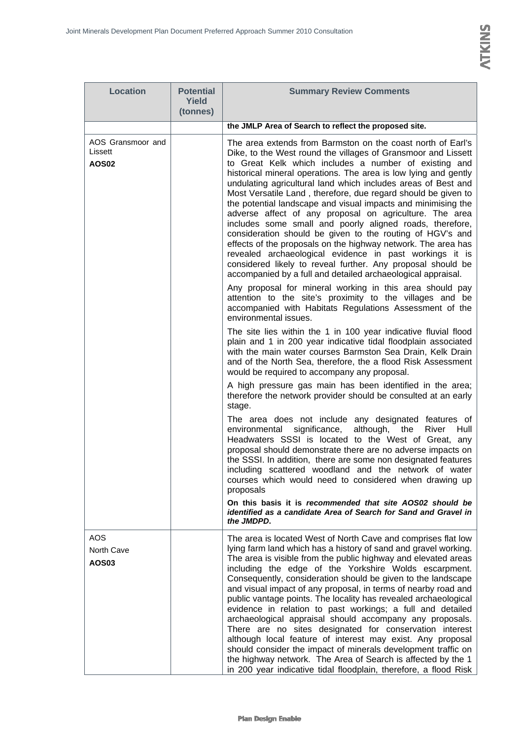| <b>Location</b>                              | <b>Potential</b><br>Yield | <b>Summary Review Comments</b>                                                                                                                                                                                                                                                                                                                                                                                                                                                                                                                                                                                                                                                                                                                                                                                                                                                                                                                                                                                                                                                                                                                                                                                                                                                                                            |
|----------------------------------------------|---------------------------|---------------------------------------------------------------------------------------------------------------------------------------------------------------------------------------------------------------------------------------------------------------------------------------------------------------------------------------------------------------------------------------------------------------------------------------------------------------------------------------------------------------------------------------------------------------------------------------------------------------------------------------------------------------------------------------------------------------------------------------------------------------------------------------------------------------------------------------------------------------------------------------------------------------------------------------------------------------------------------------------------------------------------------------------------------------------------------------------------------------------------------------------------------------------------------------------------------------------------------------------------------------------------------------------------------------------------|
|                                              | (tonnes)                  | the JMLP Area of Search to reflect the proposed site.                                                                                                                                                                                                                                                                                                                                                                                                                                                                                                                                                                                                                                                                                                                                                                                                                                                                                                                                                                                                                                                                                                                                                                                                                                                                     |
| AOS Gransmoor and<br>Lissett<br><b>AOS02</b> |                           | The area extends from Barmston on the coast north of Earl's<br>Dike, to the West round the villages of Gransmoor and Lissett<br>to Great Kelk which includes a number of existing and<br>historical mineral operations. The area is low lying and gently<br>undulating agricultural land which includes areas of Best and<br>Most Versatile Land, therefore, due regard should be given to<br>the potential landscape and visual impacts and minimising the<br>adverse affect of any proposal on agriculture. The area<br>includes some small and poorly aligned roads, therefore,<br>consideration should be given to the routing of HGV's and<br>effects of the proposals on the highway network. The area has<br>revealed archaeological evidence in past workings it is<br>considered likely to reveal further. Any proposal should be<br>accompanied by a full and detailed archaeological appraisal.<br>Any proposal for mineral working in this area should pay<br>attention to the site's proximity to the villages and be<br>accompanied with Habitats Regulations Assessment of the<br>environmental issues.<br>The site lies within the 1 in 100 year indicative fluvial flood<br>plain and 1 in 200 year indicative tidal floodplain associated<br>with the main water courses Barmston Sea Drain, Kelk Drain |
|                                              |                           | and of the North Sea, therefore, the a flood Risk Assessment<br>would be required to accompany any proposal.<br>A high pressure gas main has been identified in the area;<br>therefore the network provider should be consulted at an early<br>stage.<br>The area does not include any designated features of<br>environmental<br>significance,<br>although, the<br>River<br>Hull<br>Headwaters SSSI is located to the West of Great, any<br>proposal should demonstrate there are no adverse impacts on<br>the SSSI. In addition, there are some non designated features<br>including scattered woodland and the network of water<br>courses which would need to considered when drawing up<br>proposals<br>On this basis it is recommended that site AOS02 should be<br>identified as a candidate Area of Search for Sand and Gravel in<br>the JMDPD.                                                                                                                                                                                                                                                                                                                                                                                                                                                                   |
| AOS<br>North Cave<br>AOS03                   |                           | The area is located West of North Cave and comprises flat low<br>lying farm land which has a history of sand and gravel working.<br>The area is visible from the public highway and elevated areas<br>including the edge of the Yorkshire Wolds escarpment.<br>Consequently, consideration should be given to the landscape<br>and visual impact of any proposal, in terms of nearby road and<br>public vantage points. The locality has revealed archaeological<br>evidence in relation to past workings; a full and detailed<br>archaeological appraisal should accompany any proposals.<br>There are no sites designated for conservation interest<br>although local feature of interest may exist. Any proposal<br>should consider the impact of minerals development traffic on<br>the highway network. The Area of Search is affected by the 1<br>in 200 year indicative tidal floodplain, therefore, a flood Risk                                                                                                                                                                                                                                                                                                                                                                                                  |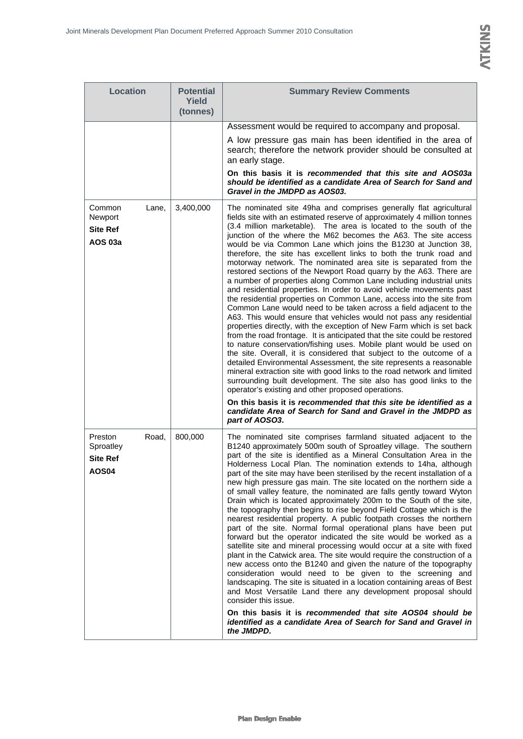| <b>Location</b>                                                  | <b>Potential</b><br><b>Yield</b><br>(tonnes) | <b>Summary Review Comments</b>                                                                                                                                                                                                                                                                                                                                                                                                                                                                                                                                                                                                                                                                                                                                                                                                                                                                                                                                                                                                                                                                                                                                                                                                                                                                                                                                                                                                                                                                                                                                                                                                                                                   |
|------------------------------------------------------------------|----------------------------------------------|----------------------------------------------------------------------------------------------------------------------------------------------------------------------------------------------------------------------------------------------------------------------------------------------------------------------------------------------------------------------------------------------------------------------------------------------------------------------------------------------------------------------------------------------------------------------------------------------------------------------------------------------------------------------------------------------------------------------------------------------------------------------------------------------------------------------------------------------------------------------------------------------------------------------------------------------------------------------------------------------------------------------------------------------------------------------------------------------------------------------------------------------------------------------------------------------------------------------------------------------------------------------------------------------------------------------------------------------------------------------------------------------------------------------------------------------------------------------------------------------------------------------------------------------------------------------------------------------------------------------------------------------------------------------------------|
|                                                                  |                                              | Assessment would be required to accompany and proposal.                                                                                                                                                                                                                                                                                                                                                                                                                                                                                                                                                                                                                                                                                                                                                                                                                                                                                                                                                                                                                                                                                                                                                                                                                                                                                                                                                                                                                                                                                                                                                                                                                          |
|                                                                  |                                              | A low pressure gas main has been identified in the area of<br>search; therefore the network provider should be consulted at<br>an early stage.                                                                                                                                                                                                                                                                                                                                                                                                                                                                                                                                                                                                                                                                                                                                                                                                                                                                                                                                                                                                                                                                                                                                                                                                                                                                                                                                                                                                                                                                                                                                   |
|                                                                  |                                              | On this basis it is recommended that this site and AOS03a<br>should be identified as a candidate Area of Search for Sand and<br>Gravel in the JMDPD as AOS03.                                                                                                                                                                                                                                                                                                                                                                                                                                                                                                                                                                                                                                                                                                                                                                                                                                                                                                                                                                                                                                                                                                                                                                                                                                                                                                                                                                                                                                                                                                                    |
| Common<br>Lane,<br>Newport<br><b>Site Ref</b><br><b>AOS 03a</b>  | 3,400,000                                    | The nominated site 49ha and comprises generally flat agricultural<br>fields site with an estimated reserve of approximately 4 million tonnes<br>(3.4 million marketable). The area is located to the south of the<br>junction of the where the M62 becomes the A63. The site access<br>would be via Common Lane which joins the B1230 at Junction 38,<br>therefore, the site has excellent links to both the trunk road and<br>motorway network. The nominated area site is separated from the<br>restored sections of the Newport Road quarry by the A63. There are<br>a number of properties along Common Lane including industrial units<br>and residential properties. In order to avoid vehicle movements past<br>the residential properties on Common Lane, access into the site from<br>Common Lane would need to be taken across a field adjacent to the<br>A63. This would ensure that vehicles would not pass any residential<br>properties directly, with the exception of New Farm which is set back<br>from the road frontage. It is anticipated that the site could be restored<br>to nature conservation/fishing uses. Mobile plant would be used on<br>the site. Overall, it is considered that subject to the outcome of a<br>detailed Environmental Assessment, the site represents a reasonable<br>mineral extraction site with good links to the road network and limited<br>surrounding built development. The site also has good links to the<br>operator's existing and other proposed operations.<br>On this basis it is recommended that this site be identified as a<br>candidate Area of Search for Sand and Gravel in the JMDPD as<br>part of AOSO3. |
| Preston<br>Road,<br>Sproatley<br><b>Site Ref</b><br><b>AOS04</b> | 800,000                                      | The nominated site comprises farmland situated adjacent to the<br>B1240 approximately 500m south of Sproatley village. The southern<br>part of the site is identified as a Mineral Consultation Area in the<br>Holderness Local Plan. The nomination extends to 14ha, although<br>part of the site may have been sterilised by the recent installation of a<br>new high pressure gas main. The site located on the northern side a<br>of small valley feature, the nominated are falls gently toward Wyton<br>Drain which is located approximately 200m to the South of the site,<br>the topography then begins to rise beyond Field Cottage which is the<br>nearest residential property. A public footpath crosses the northern<br>part of the site. Normal formal operational plans have been put<br>forward but the operator indicated the site would be worked as a<br>satellite site and mineral processing would occur at a site with fixed<br>plant in the Catwick area. The site would require the construction of a<br>new access onto the B1240 and given the nature of the topography<br>consideration would need to be given to the screening and<br>landscaping. The site is situated in a location containing areas of Best<br>and Most Versatile Land there any development proposal should<br>consider this issue.<br>On this basis it is recommended that site AOS04 should be<br>identified as a candidate Area of Search for Sand and Gravel in<br>the JMDPD.                                                                                                                                                                                                |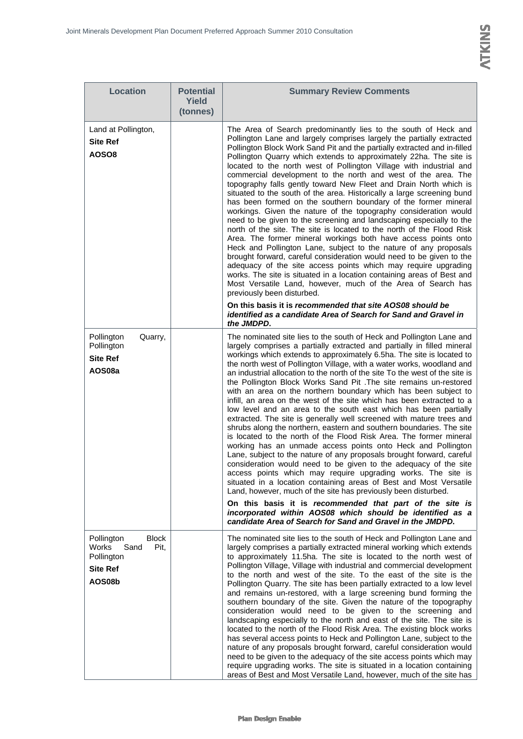| <b>Location</b>                                                                                | <b>Potential</b><br>Yield<br>(tonnes) | <b>Summary Review Comments</b>                                                                                                                                                                                                                                                                                                                                                                                                                                                                                                                                                                                                                                                                                                                                                                                                                                                                                                                                                                                                                                                                                                                                                                                                                                                                                                                                                                                                                                                                             |
|------------------------------------------------------------------------------------------------|---------------------------------------|------------------------------------------------------------------------------------------------------------------------------------------------------------------------------------------------------------------------------------------------------------------------------------------------------------------------------------------------------------------------------------------------------------------------------------------------------------------------------------------------------------------------------------------------------------------------------------------------------------------------------------------------------------------------------------------------------------------------------------------------------------------------------------------------------------------------------------------------------------------------------------------------------------------------------------------------------------------------------------------------------------------------------------------------------------------------------------------------------------------------------------------------------------------------------------------------------------------------------------------------------------------------------------------------------------------------------------------------------------------------------------------------------------------------------------------------------------------------------------------------------------|
| Land at Pollington,<br><b>Site Ref</b><br>AOSO8                                                |                                       | The Area of Search predominantly lies to the south of Heck and<br>Pollington Lane and largely comprises largely the partially extracted<br>Pollington Block Work Sand Pit and the partially extracted and in-filled<br>Pollington Quarry which extends to approximately 22ha. The site is<br>located to the north west of Pollington Village with industrial and<br>commercial development to the north and west of the area. The<br>topography falls gently toward New Fleet and Drain North which is<br>situated to the south of the area. Historically a large screening bund<br>has been formed on the southern boundary of the former mineral<br>workings. Given the nature of the topography consideration would<br>need to be given to the screening and landscaping especially to the<br>north of the site. The site is located to the north of the Flood Risk<br>Area. The former mineral workings both have access points onto<br>Heck and Pollington Lane, subject to the nature of any proposals<br>brought forward, careful consideration would need to be given to the<br>adequacy of the site access points which may require upgrading<br>works. The site is situated in a location containing areas of Best and<br>Most Versatile Land, however, much of the Area of Search has<br>previously been disturbed.<br>On this basis it is recommended that site AOS08 should be                                                                                                                |
|                                                                                                |                                       | identified as a candidate Area of Search for Sand and Gravel in<br>the JMDPD.                                                                                                                                                                                                                                                                                                                                                                                                                                                                                                                                                                                                                                                                                                                                                                                                                                                                                                                                                                                                                                                                                                                                                                                                                                                                                                                                                                                                                              |
| Pollington<br>Quarry,<br>Pollington<br><b>Site Ref</b><br>AOS08a                               |                                       | The nominated site lies to the south of Heck and Pollington Lane and<br>largely comprises a partially extracted and partially in filled mineral<br>workings which extends to approximately 6.5ha. The site is located to<br>the north west of Pollington Village, with a water works, woodland and<br>an industrial allocation to the north of the site To the west of the site is<br>the Pollington Block Works Sand Pit . The site remains un-restored<br>with an area on the northern boundary which has been subject to<br>infill, an area on the west of the site which has been extracted to a<br>low level and an area to the south east which has been partially<br>extracted. The site is generally well screened with mature trees and<br>shrubs along the northern, eastern and southern boundaries. The site<br>is located to the north of the Flood Risk Area. The former mineral<br>working has an unmade access points onto Heck and Pollington<br>Lane, subject to the nature of any proposals brought forward, careful<br>consideration would need to be given to the adequacy of the site<br>access points which may require upgrading works. The site is<br>situated in a location containing areas of Best and Most Versatile<br>Land, however, much of the site has previously been disturbed.<br>On this basis it is recommended that part of the site is<br>incorporated within AOS08 which should be identified as a<br>candidate Area of Search for Sand and Gravel in the JMDPD. |
| Pollington<br><b>Block</b><br>Works<br>Sand<br>Pit,<br>Pollington<br><b>Site Ref</b><br>AOS08b |                                       | The nominated site lies to the south of Heck and Pollington Lane and<br>largely comprises a partially extracted mineral working which extends<br>to approximately 11.5ha. The site is located to the north west of<br>Pollington Village, Village with industrial and commercial development<br>to the north and west of the site. To the east of the site is the<br>Pollington Quarry. The site has been partially extracted to a low level<br>and remains un-restored, with a large screening bund forming the<br>southern boundary of the site. Given the nature of the topography<br>consideration would need to be given to the screening and<br>landscaping especially to the north and east of the site. The site is<br>located to the north of the Flood Risk Area. The existing block works<br>has several access points to Heck and Pollington Lane, subject to the<br>nature of any proposals brought forward, careful consideration would<br>need to be given to the adequacy of the site access points which may<br>require upgrading works. The site is situated in a location containing                                                                                                                                                                                                                                                                                                                                                                                                    |

areas of Best and Most Versatile Land, however, much of the site has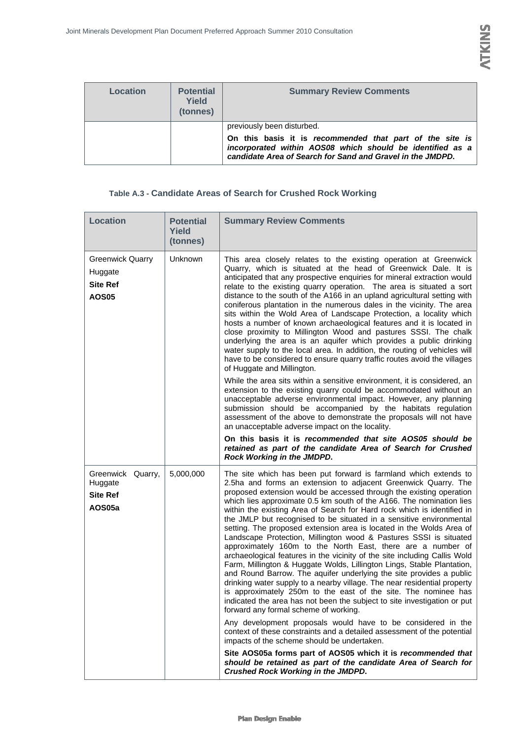| Location | <b>Potential</b><br>Yield<br>(tonnes) | <b>Summary Review Comments</b>                                                                                                                                                                                    |
|----------|---------------------------------------|-------------------------------------------------------------------------------------------------------------------------------------------------------------------------------------------------------------------|
|          |                                       | previously been disturbed.<br>On this basis it is recommended that part of the site is<br>incorporated within AOS08 which should be identified as a<br>candidate Area of Search for Sand and Gravel in the JMDPD. |

#### **Table A.3 - Candidate Areas of Search for Crushed Rock Working**

| <b>Location</b>                                                       | <b>Potential</b><br>Yield<br>(tonnes) | <b>Summary Review Comments</b>                                                                                                                                                                                                                                                                                                                                                                                                                                                                                                                                                                                                                                                                                                                                                                                                                                                                                                                                                                                                                                                                                                                                                                                                                                                                                                                                                                             |
|-----------------------------------------------------------------------|---------------------------------------|------------------------------------------------------------------------------------------------------------------------------------------------------------------------------------------------------------------------------------------------------------------------------------------------------------------------------------------------------------------------------------------------------------------------------------------------------------------------------------------------------------------------------------------------------------------------------------------------------------------------------------------------------------------------------------------------------------------------------------------------------------------------------------------------------------------------------------------------------------------------------------------------------------------------------------------------------------------------------------------------------------------------------------------------------------------------------------------------------------------------------------------------------------------------------------------------------------------------------------------------------------------------------------------------------------------------------------------------------------------------------------------------------------|
| <b>Greenwick Quarry</b><br>Huggate<br><b>Site Ref</b><br><b>AOS05</b> | Unknown                               | This area closely relates to the existing operation at Greenwick<br>Quarry, which is situated at the head of Greenwick Dale. It is<br>anticipated that any prospective enquiries for mineral extraction would<br>relate to the existing quarry operation. The area is situated a sort<br>distance to the south of the A166 in an upland agricultural setting with<br>coniferous plantation in the numerous dales in the vicinity. The area<br>sits within the Wold Area of Landscape Protection, a locality which<br>hosts a number of known archaeological features and it is located in<br>close proximity to Millington Wood and pastures SSSI. The chalk<br>underlying the area is an aquifer which provides a public drinking<br>water supply to the local area. In addition, the routing of vehicles will<br>have to be considered to ensure quarry traffic routes avoid the villages<br>of Huggate and Millington.<br>While the area sits within a sensitive environment, it is considered, an<br>extension to the existing quarry could be accommodated without an<br>unacceptable adverse environmental impact. However, any planning<br>submission should be accompanied by the habitats regulation<br>assessment of the above to demonstrate the proposals will not have<br>an unacceptable adverse impact on the locality.                                                                     |
|                                                                       |                                       | On this basis it is recommended that site AOS05 should be<br>retained as part of the candidate Area of Search for Crushed<br>Rock Working in the JMDPD.                                                                                                                                                                                                                                                                                                                                                                                                                                                                                                                                                                                                                                                                                                                                                                                                                                                                                                                                                                                                                                                                                                                                                                                                                                                    |
| Greenwick Quarry,<br>Huggate<br><b>Site Ref</b><br>AOS05a             | 5,000,000                             | The site which has been put forward is farmland which extends to<br>2.5ha and forms an extension to adjacent Greenwick Quarry. The<br>proposed extension would be accessed through the existing operation<br>which lies approximate 0.5 km south of the A166. The nomination lies<br>within the existing Area of Search for Hard rock which is identified in<br>the JMLP but recognised to be situated in a sensitive environmental<br>setting. The proposed extension area is located in the Wolds Area of<br>Landscape Protection, Millington wood & Pastures SSSI is situated<br>approximately 160m to the North East, there are a number of<br>archaeological features in the vicinity of the site including Callis Wold<br>Farm, Millington & Huggate Wolds, Lillington Lings, Stable Plantation,<br>and Round Barrow. The aquifer underlying the site provides a public<br>drinking water supply to a nearby village. The near residential property<br>is approximately 250m to the east of the site. The nominee has<br>indicated the area has not been the subject to site investigation or put<br>forward any formal scheme of working.<br>Any development proposals would have to be considered in the<br>context of these constraints and a detailed assessment of the potential<br>impacts of the scheme should be undertaken.<br>Site AOS05a forms part of AOS05 which it is recommended that |
|                                                                       |                                       | should be retained as part of the candidate Area of Search for<br><b>Crushed Rock Working in the JMDPD.</b>                                                                                                                                                                                                                                                                                                                                                                                                                                                                                                                                                                                                                                                                                                                                                                                                                                                                                                                                                                                                                                                                                                                                                                                                                                                                                                |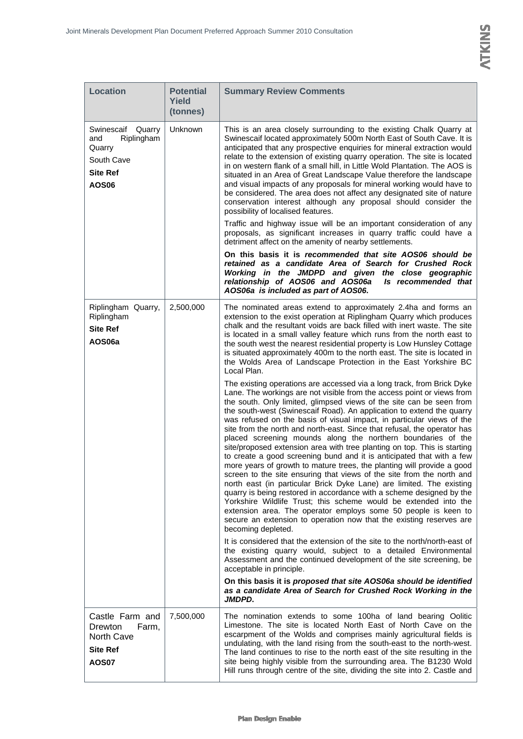| <b>Location</b>                                                                            | <b>Potential</b><br><b>Yield</b><br>(tonnes) | <b>Summary Review Comments</b>                                                                                                                                                                                                                                                                                                                                                                                                                                                                                                                                                                                                                                                                                                                                                                                                                                                                                                                                                                                                                                |
|--------------------------------------------------------------------------------------------|----------------------------------------------|---------------------------------------------------------------------------------------------------------------------------------------------------------------------------------------------------------------------------------------------------------------------------------------------------------------------------------------------------------------------------------------------------------------------------------------------------------------------------------------------------------------------------------------------------------------------------------------------------------------------------------------------------------------------------------------------------------------------------------------------------------------------------------------------------------------------------------------------------------------------------------------------------------------------------------------------------------------------------------------------------------------------------------------------------------------|
| Swinescaif Quarry<br>Riplingham<br>and<br>Quarry<br>South Cave<br>Site Ref<br><b>AOS06</b> | Unknown                                      | This is an area closely surrounding to the existing Chalk Quarry at<br>Swinescaif located approximately 500m North East of South Cave. It is<br>anticipated that any prospective enquiries for mineral extraction would<br>relate to the extension of existing quarry operation. The site is located<br>in on western flank of a small hill, in Little Wold Plantation. The AOS is<br>situated in an Area of Great Landscape Value therefore the landscape<br>and visual impacts of any proposals for mineral working would have to<br>be considered. The area does not affect any designated site of nature<br>conservation interest although any proposal should consider the<br>possibility of localised features.                                                                                                                                                                                                                                                                                                                                         |
|                                                                                            |                                              | Traffic and highway issue will be an important consideration of any<br>proposals, as significant increases in quarry traffic could have a<br>detriment affect on the amenity of nearby settlements.                                                                                                                                                                                                                                                                                                                                                                                                                                                                                                                                                                                                                                                                                                                                                                                                                                                           |
|                                                                                            |                                              | On this basis it is recommended that site AOS06 should be<br>retained as a candidate Area of Search for Crushed Rock<br>Working in the JMDPD and given the close geographic<br>relationship of AOS06 and AOS06a<br>Is recommended that<br>AOS06a is included as part of AOS06.                                                                                                                                                                                                                                                                                                                                                                                                                                                                                                                                                                                                                                                                                                                                                                                |
| Riplingham Quarry,<br>Riplingham<br><b>Site Ref</b><br>AOS06a                              | 2,500,000                                    | The nominated areas extend to approximately 2.4ha and forms an<br>extension to the exist operation at Riplingham Quarry which produces<br>chalk and the resultant voids are back filled with inert waste. The site<br>is located in a small valley feature which runs from the north east to<br>the south west the nearest residential property is Low Hunsley Cottage<br>is situated approximately 400m to the north east. The site is located in<br>the Wolds Area of Landscape Protection in the East Yorkshire BC<br>Local Plan.<br>The existing operations are accessed via a long track, from Brick Dyke<br>Lane. The workings are not visible from the access point or views from                                                                                                                                                                                                                                                                                                                                                                      |
|                                                                                            |                                              | the south. Only limited, glimpsed views of the site can be seen from<br>the south-west (Swinescaif Road). An application to extend the quarry<br>was refused on the basis of visual impact, in particular views of the<br>site from the north and north-east. Since that refusal, the operator has<br>placed screening mounds along the northern boundaries of the<br>site/proposed extension area with tree planting on top. This is starting<br>to create a good screening bund and it is anticipated that with a few<br>more years of growth to mature trees, the planting will provide a good<br>screen to the site ensuring that views of the site from the north and<br>north east (in particular Brick Dyke Lane) are limited. The existing<br>quarry is being restored in accordance with a scheme designed by the<br>Yorkshire Wildlife Trust; this scheme would be extended into the<br>extension area. The operator employs some 50 people is keen to<br>secure an extension to operation now that the existing reserves are<br>becoming depleted. |
|                                                                                            |                                              | It is considered that the extension of the site to the north/north-east of<br>the existing quarry would, subject to a detailed Environmental<br>Assessment and the continued development of the site screening, be<br>acceptable in principle.                                                                                                                                                                                                                                                                                                                                                                                                                                                                                                                                                                                                                                                                                                                                                                                                                |
|                                                                                            |                                              | On this basis it is proposed that site AOS06a should be identified<br>as a candidate Area of Search for Crushed Rock Working in the<br>JMDPD.                                                                                                                                                                                                                                                                                                                                                                                                                                                                                                                                                                                                                                                                                                                                                                                                                                                                                                                 |
| Castle Farm and<br>Drewton<br>Farm,<br>North Cave<br><b>Site Ref</b><br><b>AOS07</b>       | 7,500,000                                    | The nomination extends to some 100ha of land bearing Oolitic<br>Limestone. The site is located North East of North Cave on the<br>escarpment of the Wolds and comprises mainly agricultural fields is<br>undulating, with the land rising from the south-east to the north-west.<br>The land continues to rise to the north east of the site resulting in the<br>site being highly visible from the surrounding area. The B1230 Wold<br>Hill runs through centre of the site, dividing the site into 2. Castle and                                                                                                                                                                                                                                                                                                                                                                                                                                                                                                                                            |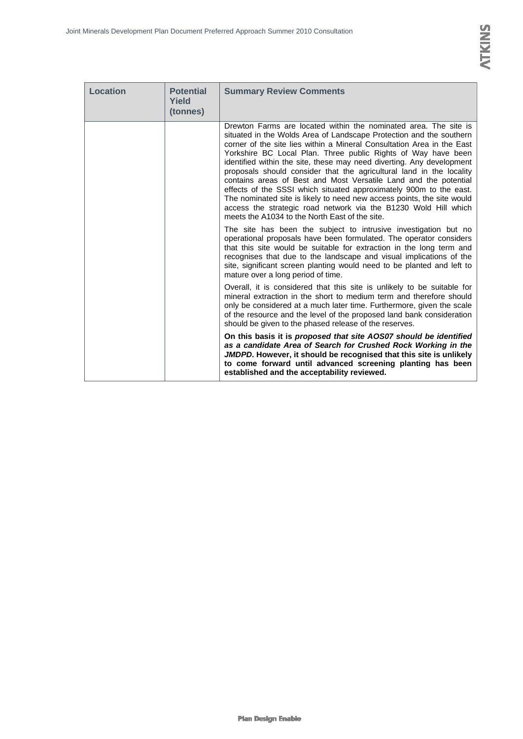| Location | <b>Potential</b><br>Yield<br>(tonnes) | <b>Summary Review Comments</b>                                                                                                                                                                                                                                                                                                                                                                                                                                                                                                                                                                                                                                                                                                                                               |
|----------|---------------------------------------|------------------------------------------------------------------------------------------------------------------------------------------------------------------------------------------------------------------------------------------------------------------------------------------------------------------------------------------------------------------------------------------------------------------------------------------------------------------------------------------------------------------------------------------------------------------------------------------------------------------------------------------------------------------------------------------------------------------------------------------------------------------------------|
|          |                                       | Drewton Farms are located within the nominated area. The site is<br>situated in the Wolds Area of Landscape Protection and the southern<br>corner of the site lies within a Mineral Consultation Area in the East<br>Yorkshire BC Local Plan. Three public Rights of Way have been<br>identified within the site, these may need diverting. Any development<br>proposals should consider that the agricultural land in the locality<br>contains areas of Best and Most Versatile Land and the potential<br>effects of the SSSI which situated approximately 900m to the east.<br>The nominated site is likely to need new access points, the site would<br>access the strategic road network via the B1230 Wold Hill which<br>meets the A1034 to the North East of the site. |
|          |                                       | The site has been the subject to intrusive investigation but no<br>operational proposals have been formulated. The operator considers<br>that this site would be suitable for extraction in the long term and<br>recognises that due to the landscape and visual implications of the<br>site, significant screen planting would need to be planted and left to<br>mature over a long period of time.                                                                                                                                                                                                                                                                                                                                                                         |
|          |                                       | Overall, it is considered that this site is unlikely to be suitable for<br>mineral extraction in the short to medium term and therefore should<br>only be considered at a much later time. Furthermore, given the scale<br>of the resource and the level of the proposed land bank consideration<br>should be given to the phased release of the reserves.                                                                                                                                                                                                                                                                                                                                                                                                                   |
|          |                                       | On this basis it is proposed that site AOS07 should be identified<br>as a candidate Area of Search for Crushed Rock Working in the<br>JMDPD. However, it should be recognised that this site is unlikely<br>to come forward until advanced screening planting has been<br>established and the acceptability reviewed.                                                                                                                                                                                                                                                                                                                                                                                                                                                        |